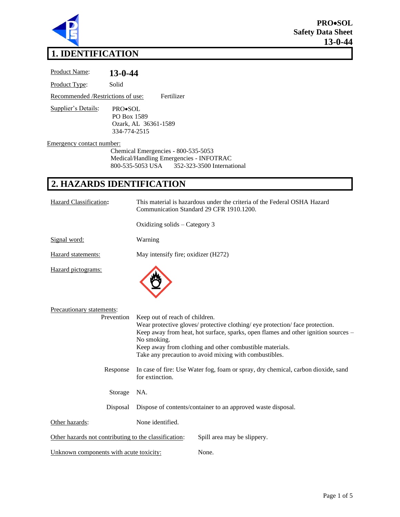

# **1. IDENTIFICATION**

| Product Name:                     | 13-0-44                                                                                                                                                                                                                    |
|-----------------------------------|----------------------------------------------------------------------------------------------------------------------------------------------------------------------------------------------------------------------------|
| Product Type:                     | Solid                                                                                                                                                                                                                      |
| Recommended /Restrictions of use: | Fertilizer                                                                                                                                                                                                                 |
| Supplier's Details:               | PRO•SOL<br>PO Box 1589<br>Ozark, AL 36361-1589<br>334-774-2515                                                                                                                                                             |
| Emergency contact number:         | Chemical Emergencies - 800-535-5053<br>Medical/Handling Emergencies - INFOTRAC<br>800-535-5053 USA<br>352-323-3500 International                                                                                           |
|                                   | 2. HAZARDS IDENTIFICATION                                                                                                                                                                                                  |
| <b>Hazard Classification:</b>     | This material is hazardous under the criteria of the Federal OSHA Hazard<br>Communication Standard 29 CFR 1910.1200.                                                                                                       |
|                                   | Oxidizing solids – Category 3                                                                                                                                                                                              |
| Signal word:                      | Warning                                                                                                                                                                                                                    |
| Hazard statements:                | May intensify fire; oxidizer (H272)                                                                                                                                                                                        |
| Hazard pictograms:                |                                                                                                                                                                                                                            |
| Precautionary statements:         | Keep out of reach of children.<br>Prevention<br>Wear protective gloves/ protective clothing/ eye protection/ face protection.<br>Keep away from heat, hot surface, sparks, open flames and other ignition so<br>No smoking |

nes and other ignition sources – No smoking. Keep away from clothing and other combustible materials. Take any precaution to avoid mixing with combustibles. Response In case of fire: Use Water fog, foam or spray, dry chemical, carbon dioxide, sand for extinction. Storage NA. Disposal Dispose of contents/container to an approved waste disposal. Other hazards: None identified. Other hazards not contributing to the classification: Spill area may be slippery.

Unknown components with acute toxicity: None.

Page 1 of 5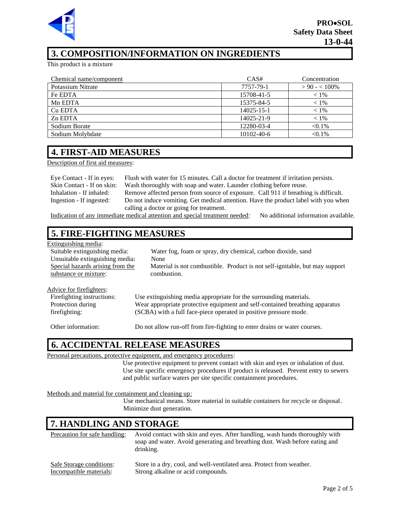

## **3. COMPOSITION/INFORMATION ON INGREDIENTS**

This product is a mixture

| Chemical name/component | CAS#       | Concentration  |
|-------------------------|------------|----------------|
| Potassium Nitrate       | 7757-79-1  | $> 90 - 100\%$ |
| Fe EDTA                 | 15708-41-5 | $< 1\%$        |
| Mn EDTA                 | 15375-84-5 | $< 1\%$        |
| Cu EDTA                 | 14025-15-1 | $< 1\%$        |
| Zn EDTA                 | 14025-21-9 | $< 1\%$        |
| Sodium Borate           | 12280-03-4 | $< 0.1\%$      |
| Sodium Molybdate        | 10102-40-6 | $< 0.1\%$      |

### **4. FIRST-AID MEASURES**

Description of first aid measures:

| Eye Contact - If in eyes:  | Flush with water for 15 minutes. Call a doctor for treatment if irritation persists. |
|----------------------------|--------------------------------------------------------------------------------------|
| Skin Contact - If on skin: | Wash thoroughly with soap and water. Launder clothing before reuse.                  |
| Inhalation - If inhaled:   | Remove affected person from source of exposure. Call 911 if breathing is difficult.  |
| Ingestion - If ingested:   | Do not induce vomiting. Get medical attention. Have the product label with you when  |
|                            | calling a doctor or going for treatment.                                             |

Indication of any immediate medical attention and special treatment needed: No additional information available.

### **5. FIRE-FIGHTING MEASURES**

| Extinguishing media:             |                                                                              |
|----------------------------------|------------------------------------------------------------------------------|
| Suitable extinguishing media:    | Water fog, foam or spray, dry chemical, carbon dioxide, sand                 |
| Unsuitable extinguishing media:  | None                                                                         |
| Special hazards arising from the | Material is not combustible. Product is not self-ignitable, but may support  |
| substance or mixture:            | combustion.                                                                  |
|                                  |                                                                              |
| Advice for firefighters:         |                                                                              |
| Firefighting instructions:       | Use extinguishing media appropriate for the surrounding materials.           |
| Protection during                | Wear appropriate protective equipment and self-contained breathing apparatus |

firefighting:

Other information: Do not allow run-off from fire-fighting to enter drains or water courses.

(SCBA) with a full face-piece operated in positive pressure mode.

### **6. ACCIDENTAL RELEASE MEASURES**

Personal precautions, protective equipment, and emergency procedures:

Use protective equipment to prevent contact with skin and eyes or inhalation of dust. Use site specific emergency procedures if product is released. Prevent entry to sewers and public surface waters per site specific containment procedures.

#### Methods and material for containment and cleaning up:

Use mechanical means. Store material in suitable containers for recycle or disposal. Minimize dust generation.

# **7. HANDLING AND STORAGE**

| Precaution for safe handling: | Avoid contact with skin and eyes. After handling, wash hands thoroughly with<br>soap and water. Avoid generating and breathing dust. Wash before eating and<br>drinking. |
|-------------------------------|--------------------------------------------------------------------------------------------------------------------------------------------------------------------------|
| Safe Storage conditions:      | Store in a dry, cool, and well-ventilated area. Protect from weather.                                                                                                    |
| Incompatible materials:       | Strong alkaline or acid compounds.                                                                                                                                       |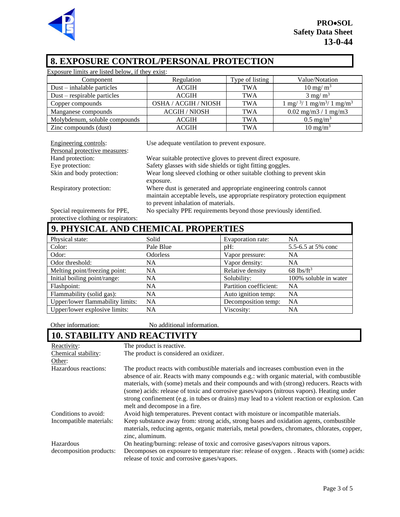

# **8. EXPOSURE CONTROL/PERSONAL PROTECTION**

| Exposure limits are listed below, if they exist: |                             |                 |                                                             |
|--------------------------------------------------|-----------------------------|-----------------|-------------------------------------------------------------|
| Component                                        | Regulation                  | Type of listing | Value/Notation                                              |
| $Dust - inhalable particles$                     | <b>ACGIH</b>                | <b>TWA</b>      | $10 \text{ mg/m}^3$                                         |
| $Dust$ – respirable particles                    | <b>ACGIH</b>                | <b>TWA</b>      | $3 \text{ mg/m}^3$                                          |
| Copper compounds                                 | <b>OSHA / ACGIH / NIOSH</b> | <b>TWA</b>      | $1 \text{ mg}/^{3}/ 1 \text{ mg/m}^{3}/ 1 \text{ mg/m}^{3}$ |
| Manganese compounds                              | <b>ACGIH / NIOSH</b>        | <b>TWA</b>      | $0.02$ mg/m $3/1$ mg/m $3$                                  |
| Molybdenum, soluble compounds                    | <b>ACGIH</b>                | <b>TWA</b>      | $0.5 \text{ mg/m}^3$                                        |
| Zinc compounds (dust)                            | <b>ACGIH</b>                | TWA             | $10 \text{ mg/m}^3$                                         |

Personal protective measures:

Engineering controls: Use adequate ventilation to prevent exposure.

| r ersonar protective measures. |                                                                              |
|--------------------------------|------------------------------------------------------------------------------|
| Hand protection:               | Wear suitable protective gloves to prevent direct exposure.                  |
| Eye protection:                | Safety glasses with side shields or tight fitting goggles.                   |
| Skin and body protection:      | Wear long sleeved clothing or other suitable clothing to prevent skin        |
|                                | exposure.                                                                    |
| Respiratory protection:        | Where dust is generated and appropriate engineering controls cannot          |
|                                | maintain acceptable levels, use appropriate respiratory protection equipment |
|                                | to prevent inhalation of materials.                                          |
| Special requirements for PPE,  | No specialty PPE requirements beyond those previously identified.            |

protective clothing or respirators:

| 9. PHYSICAL AND CHEMICAL PROPERTIES |                 |                        |                          |
|-------------------------------------|-----------------|------------------------|--------------------------|
| Physical state:                     | Solid           | Evaporation rate:      | <b>NA</b>                |
| Color:                              | Pale Blue       | $pH$ :                 | 5.5-6.5 at 5% conc       |
| Odor:                               | <b>Odorless</b> | Vapor pressure:        | <b>NA</b>                |
| Odor threshold:                     | NA.             | Vapor density:         | <b>NA</b>                |
| Melting point/freezing point:       | NA              | Relative density       | $68$ lbs/ft <sup>3</sup> |
| Initial boiling point/range:        | <b>NA</b>       | Solubility:            | 100% soluble in water    |
| Flashpoint:                         | NA.             | Partition coefficient: | <b>NA</b>                |
| Flammability (solid gas):           | <b>NA</b>       | Auto ignition temp:    | <b>NA</b>                |
| Upper/lower flammability limits:    | NA              | Decomposition temp:    | <b>NA</b>                |
| Upper/lower explosive limits:       | NA              | Viscosity:             | NA                       |

Other information: No additional information.

# **10. STABILITY AND REACTIVITY**

| Reactivity:             | The product is reactive.                                                                                                                                                                                                                                                                                                                                                                                                                                                                                   |
|-------------------------|------------------------------------------------------------------------------------------------------------------------------------------------------------------------------------------------------------------------------------------------------------------------------------------------------------------------------------------------------------------------------------------------------------------------------------------------------------------------------------------------------------|
| Chemical stability:     | The product is considered an oxidizer.                                                                                                                                                                                                                                                                                                                                                                                                                                                                     |
| Other:                  |                                                                                                                                                                                                                                                                                                                                                                                                                                                                                                            |
| Hazardous reactions:    | The product reacts with combustible materials and increases combustion even in the<br>absence of air. Reacts with many compounds e.g.: with organic material, with combustible<br>materials, with (some) metals and their compounds and with (strong) reducers. Reacts with<br>(some) acids: release of toxic and corrosive gases/vapors (nitrous vapors). Heating under<br>strong confinement (e.g. in tubes or drains) may lead to a violent reaction or explosion. Can<br>melt and decompose in a fire. |
| Conditions to avoid:    | Avoid high temperatures. Prevent contact with moisture or incompatible materials.                                                                                                                                                                                                                                                                                                                                                                                                                          |
| Incompatible materials: | Keep substance away from: strong acids, strong bases and oxidation agents, combustible<br>materials, reducing agents, organic materials, metal powders, chromates, chlorates, copper,<br>zinc, aluminum.                                                                                                                                                                                                                                                                                                   |
| Hazardous               | On heating/burning: release of toxic and corrosive gases/vapors nitrous vapors.                                                                                                                                                                                                                                                                                                                                                                                                                            |
| decomposition products: | Decomposes on exposure to temperature rise: release of oxygen. . Reacts with (some) acids:<br>release of toxic and corrosive gases/vapors.                                                                                                                                                                                                                                                                                                                                                                 |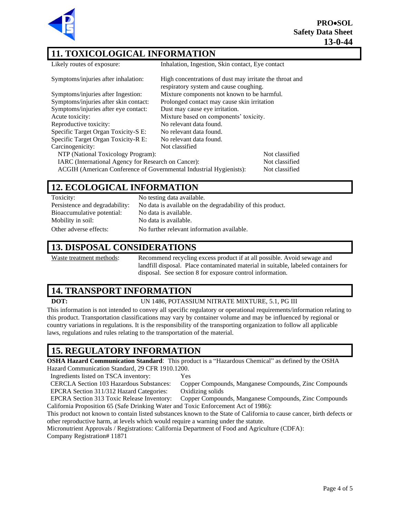**PRO**•**SOL Safety Data Sheet 13-0-44**



### **11. TOXICOLOGICAL INFORMATION**

Likely routes of exposure: Inhalation, Ingestion, Skin contact, Eye contact

| Symptoms/injuries after inhalation: |  |
|-------------------------------------|--|
|-------------------------------------|--|

| Symptoms/injuries after inhalation:                                                  | High concentrations of dust may irritate the throat and<br>respiratory system and cause coughing. |                |
|--------------------------------------------------------------------------------------|---------------------------------------------------------------------------------------------------|----------------|
| Symptoms/injuries after Ingestion:<br>Mixture components not known to be harmful.    |                                                                                                   |                |
| Symptoms/injuries after skin contact:<br>Prolonged contact may cause skin irritation |                                                                                                   |                |
| Symptoms/injuries after eye contact:                                                 | Dust may cause eye irritation.                                                                    |                |
| Acute toxicity:                                                                      | Mixture based on components' toxicity.                                                            |                |
| Reproductive toxicity:                                                               | No relevant data found.                                                                           |                |
| Specific Target Organ Toxicity-S E:                                                  | No relevant data found.                                                                           |                |
| Specific Target Organ Toxicity-R E:                                                  | No relevant data found.                                                                           |                |
| Carcinogenicity:                                                                     | Not classified                                                                                    |                |
| NTP (National Toxicology Program):                                                   |                                                                                                   | Not classified |
| IARC (International Agency for Research on Cancer):                                  |                                                                                                   | Not classified |
| ACGIH (American Conference of Governmental Industrial Hygienists):                   |                                                                                                   | Not classified |

### **12. ECOLOGICAL INFORMATION**

| Toxicity:                      | No testing data available.                                 |
|--------------------------------|------------------------------------------------------------|
| Persistence and degradability: | No data is available on the degradability of this product. |
| Bioaccumulative potential:     | No data is available.                                      |
| Mobility in soil:              | No data is available.                                      |
| Other adverse effects:         | No further relevant information available.                 |

## **13. DISPOSAL CONSIDERATIONS**

Waste treatment methods: Recommend recycling excess product if at all possible. Avoid sewage and landfill disposal. Place contaminated material in suitable, labeled containers for disposal. See section 8 for exposure control information.

# **14. TRANSPORT INFORMATION**

#### **DOT:** UN 1486, POTASSIUM NITRATE MIXTURE, 5.1, PG III

This information is not intended to convey all specific regulatory or operational requirements/information relating to this product. Transportation classifications may vary by container volume and may be influenced by regional or country variations in regulations. It is the responsibility of the transporting organization to follow all applicable laws, regulations and rules relating to the transportation of the material.

#### **15. REGULATORY INFORMATION**

**OSHA Hazard Communication Standard**: This product is a "Hazardous Chemical" as defined by the OSHA Hazard Communication Standard, 29 CFR 1910.1200.

Ingredients listed on TSCA inventory: Yes

CERCLA Section 103 Hazardous Substances: Copper Compounds, Manganese Compounds, Zinc Compounds EPCRA Section 311/312 Hazard Categories: Oxidizing solids

EPCRA Section 313 Toxic Release Inventory: Copper Compounds, Manganese Compounds, Zinc Compounds California Proposition 65 (Safe Drinking Water and Toxic Enforcement Act of 1986):

This product not known to contain listed substances known to the State of California to cause cancer, birth defects or other reproductive harm, at levels which would require a warning under the statute.

Micronutrient Approvals / Registrations: California Department of Food and Agriculture (CDFA):

Company Registration# 11871